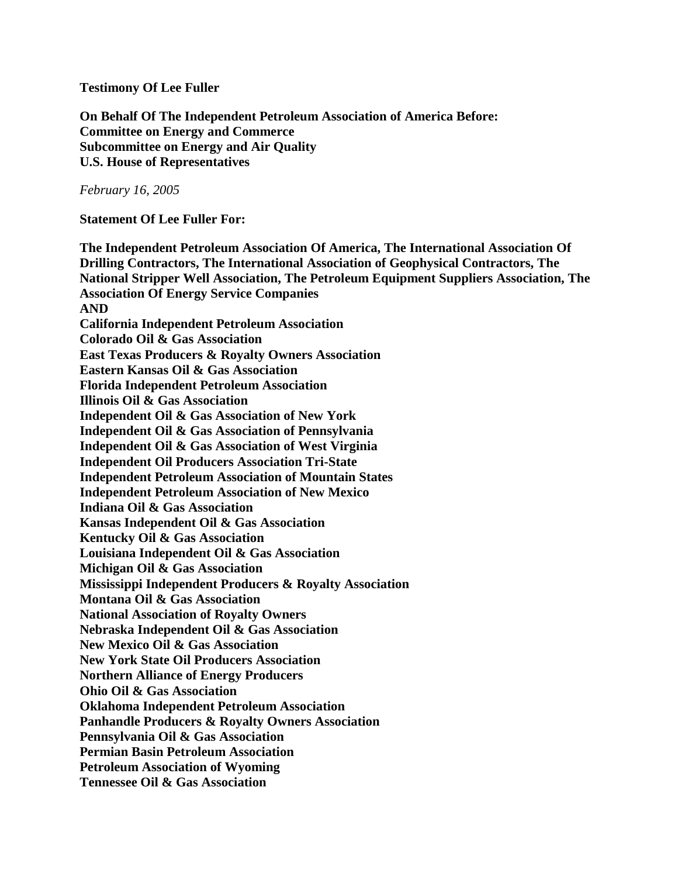#### **Testimony Of Lee Fuller**

**On Behalf Of The Independent Petroleum Association of America Before: Committee on Energy and Commerce Subcommittee on Energy and Air Quality U.S. House of Representatives**

*February 16, 2005*

**Statement Of Lee Fuller For:**

**The Independent Petroleum Association Of America, The International Association Of Drilling Contractors, The International Association of Geophysical Contractors, The National Stripper Well Association, The Petroleum Equipment Suppliers Association, The Association Of Energy Service Companies AND California Independent Petroleum Association Colorado Oil & Gas Association East Texas Producers & Royalty Owners Association Eastern Kansas Oil & Gas Association Florida Independent Petroleum Association Illinois Oil & Gas Association Independent Oil & Gas Association of New York Independent Oil & Gas Association of Pennsylvania Independent Oil & Gas Association of West Virginia Independent Oil Producers Association Tri-State Independent Petroleum Association of Mountain States Independent Petroleum Association of New Mexico Indiana Oil & Gas Association Kansas Independent Oil & Gas Association Kentucky Oil & Gas Association Louisiana Independent Oil & Gas Association Michigan Oil & Gas Association Mississippi Independent Producers & Royalty Association Montana Oil & Gas Association National Association of Royalty Owners Nebraska Independent Oil & Gas Association New Mexico Oil & Gas Association New York State Oil Producers Association Northern Alliance of Energy Producers Ohio Oil & Gas Association Oklahoma Independent Petroleum Association Panhandle Producers & Royalty Owners Association Pennsylvania Oil & Gas Association Permian Basin Petroleum Association Petroleum Association of Wyoming Tennessee Oil & Gas Association**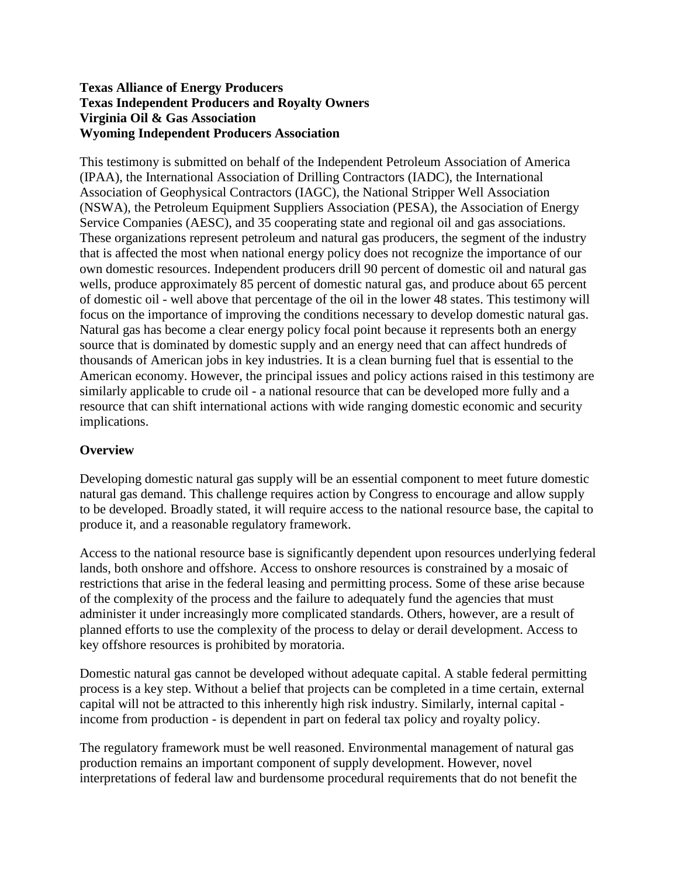#### **Texas Alliance of Energy Producers Texas Independent Producers and Royalty Owners Virginia Oil & Gas Association Wyoming Independent Producers Association**

This testimony is submitted on behalf of the Independent Petroleum Association of America (IPAA), the International Association of Drilling Contractors (IADC), the International Association of Geophysical Contractors (IAGC), the National Stripper Well Association (NSWA), the Petroleum Equipment Suppliers Association (PESA), the Association of Energy Service Companies (AESC), and 35 cooperating state and regional oil and gas associations. These organizations represent petroleum and natural gas producers, the segment of the industry that is affected the most when national energy policy does not recognize the importance of our own domestic resources. Independent producers drill 90 percent of domestic oil and natural gas wells, produce approximately 85 percent of domestic natural gas, and produce about 65 percent of domestic oil - well above that percentage of the oil in the lower 48 states. This testimony will focus on the importance of improving the conditions necessary to develop domestic natural gas. Natural gas has become a clear energy policy focal point because it represents both an energy source that is dominated by domestic supply and an energy need that can affect hundreds of thousands of American jobs in key industries. It is a clean burning fuel that is essential to the American economy. However, the principal issues and policy actions raised in this testimony are similarly applicable to crude oil - a national resource that can be developed more fully and a resource that can shift international actions with wide ranging domestic economic and security implications.

### **Overview**

Developing domestic natural gas supply will be an essential component to meet future domestic natural gas demand. This challenge requires action by Congress to encourage and allow supply to be developed. Broadly stated, it will require access to the national resource base, the capital to produce it, and a reasonable regulatory framework.

Access to the national resource base is significantly dependent upon resources underlying federal lands, both onshore and offshore. Access to onshore resources is constrained by a mosaic of restrictions that arise in the federal leasing and permitting process. Some of these arise because of the complexity of the process and the failure to adequately fund the agencies that must administer it under increasingly more complicated standards. Others, however, are a result of planned efforts to use the complexity of the process to delay or derail development. Access to key offshore resources is prohibited by moratoria.

Domestic natural gas cannot be developed without adequate capital. A stable federal permitting process is a key step. Without a belief that projects can be completed in a time certain, external capital will not be attracted to this inherently high risk industry. Similarly, internal capital income from production - is dependent in part on federal tax policy and royalty policy.

The regulatory framework must be well reasoned. Environmental management of natural gas production remains an important component of supply development. However, novel interpretations of federal law and burdensome procedural requirements that do not benefit the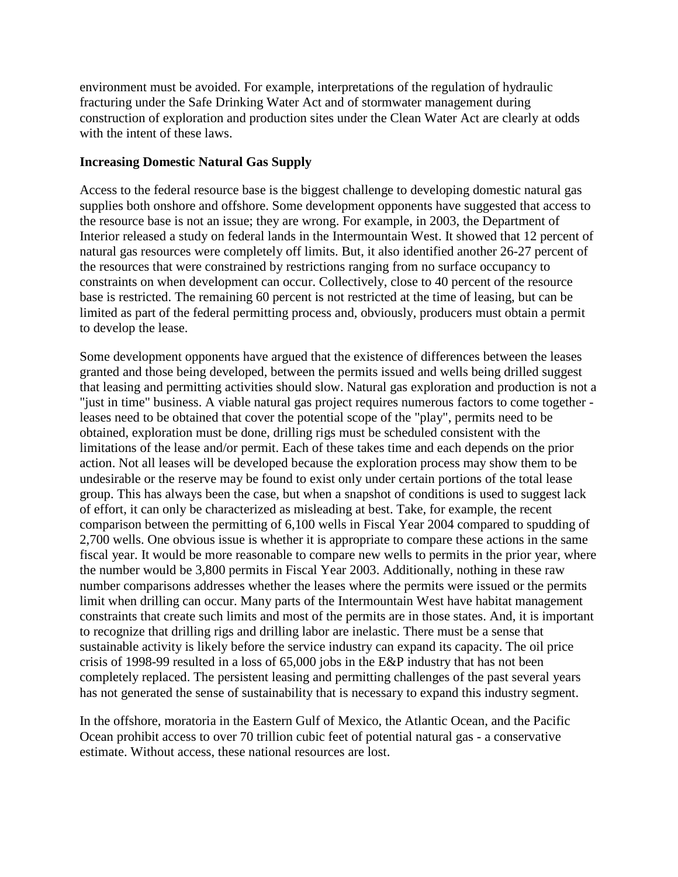environment must be avoided. For example, interpretations of the regulation of hydraulic fracturing under the Safe Drinking Water Act and of stormwater management during construction of exploration and production sites under the Clean Water Act are clearly at odds with the intent of these laws.

### **Increasing Domestic Natural Gas Supply**

Access to the federal resource base is the biggest challenge to developing domestic natural gas supplies both onshore and offshore. Some development opponents have suggested that access to the resource base is not an issue; they are wrong. For example, in 2003, the Department of Interior released a study on federal lands in the Intermountain West. It showed that 12 percent of natural gas resources were completely off limits. But, it also identified another 26-27 percent of the resources that were constrained by restrictions ranging from no surface occupancy to constraints on when development can occur. Collectively, close to 40 percent of the resource base is restricted. The remaining 60 percent is not restricted at the time of leasing, but can be limited as part of the federal permitting process and, obviously, producers must obtain a permit to develop the lease.

Some development opponents have argued that the existence of differences between the leases granted and those being developed, between the permits issued and wells being drilled suggest that leasing and permitting activities should slow. Natural gas exploration and production is not a "just in time" business. A viable natural gas project requires numerous factors to come together leases need to be obtained that cover the potential scope of the "play", permits need to be obtained, exploration must be done, drilling rigs must be scheduled consistent with the limitations of the lease and/or permit. Each of these takes time and each depends on the prior action. Not all leases will be developed because the exploration process may show them to be undesirable or the reserve may be found to exist only under certain portions of the total lease group. This has always been the case, but when a snapshot of conditions is used to suggest lack of effort, it can only be characterized as misleading at best. Take, for example, the recent comparison between the permitting of 6,100 wells in Fiscal Year 2004 compared to spudding of 2,700 wells. One obvious issue is whether it is appropriate to compare these actions in the same fiscal year. It would be more reasonable to compare new wells to permits in the prior year, where the number would be 3,800 permits in Fiscal Year 2003. Additionally, nothing in these raw number comparisons addresses whether the leases where the permits were issued or the permits limit when drilling can occur. Many parts of the Intermountain West have habitat management constraints that create such limits and most of the permits are in those states. And, it is important to recognize that drilling rigs and drilling labor are inelastic. There must be a sense that sustainable activity is likely before the service industry can expand its capacity. The oil price crisis of 1998-99 resulted in a loss of 65,000 jobs in the E&P industry that has not been completely replaced. The persistent leasing and permitting challenges of the past several years has not generated the sense of sustainability that is necessary to expand this industry segment.

In the offshore, moratoria in the Eastern Gulf of Mexico, the Atlantic Ocean, and the Pacific Ocean prohibit access to over 70 trillion cubic feet of potential natural gas - a conservative estimate. Without access, these national resources are lost.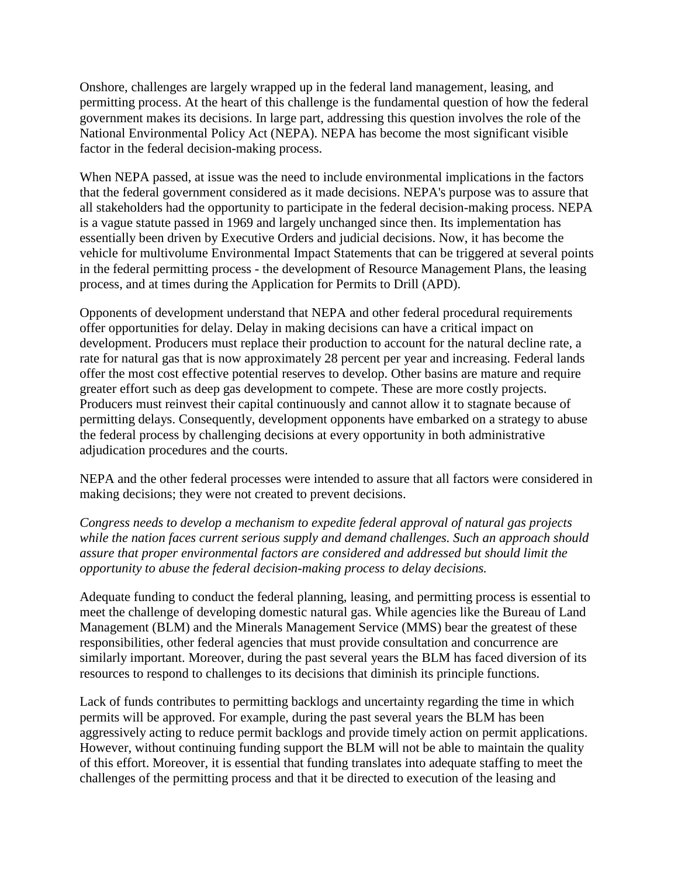Onshore, challenges are largely wrapped up in the federal land management, leasing, and permitting process. At the heart of this challenge is the fundamental question of how the federal government makes its decisions. In large part, addressing this question involves the role of the National Environmental Policy Act (NEPA). NEPA has become the most significant visible factor in the federal decision-making process.

When NEPA passed, at issue was the need to include environmental implications in the factors that the federal government considered as it made decisions. NEPA's purpose was to assure that all stakeholders had the opportunity to participate in the federal decision-making process. NEPA is a vague statute passed in 1969 and largely unchanged since then. Its implementation has essentially been driven by Executive Orders and judicial decisions. Now, it has become the vehicle for multivolume Environmental Impact Statements that can be triggered at several points in the federal permitting process - the development of Resource Management Plans, the leasing process, and at times during the Application for Permits to Drill (APD).

Opponents of development understand that NEPA and other federal procedural requirements offer opportunities for delay. Delay in making decisions can have a critical impact on development. Producers must replace their production to account for the natural decline rate, a rate for natural gas that is now approximately 28 percent per year and increasing. Federal lands offer the most cost effective potential reserves to develop. Other basins are mature and require greater effort such as deep gas development to compete. These are more costly projects. Producers must reinvest their capital continuously and cannot allow it to stagnate because of permitting delays. Consequently, development opponents have embarked on a strategy to abuse the federal process by challenging decisions at every opportunity in both administrative adjudication procedures and the courts.

NEPA and the other federal processes were intended to assure that all factors were considered in making decisions; they were not created to prevent decisions.

*Congress needs to develop a mechanism to expedite federal approval of natural gas projects while the nation faces current serious supply and demand challenges. Such an approach should assure that proper environmental factors are considered and addressed but should limit the opportunity to abuse the federal decision-making process to delay decisions.*

Adequate funding to conduct the federal planning, leasing, and permitting process is essential to meet the challenge of developing domestic natural gas. While agencies like the Bureau of Land Management (BLM) and the Minerals Management Service (MMS) bear the greatest of these responsibilities, other federal agencies that must provide consultation and concurrence are similarly important. Moreover, during the past several years the BLM has faced diversion of its resources to respond to challenges to its decisions that diminish its principle functions.

Lack of funds contributes to permitting backlogs and uncertainty regarding the time in which permits will be approved. For example, during the past several years the BLM has been aggressively acting to reduce permit backlogs and provide timely action on permit applications. However, without continuing funding support the BLM will not be able to maintain the quality of this effort. Moreover, it is essential that funding translates into adequate staffing to meet the challenges of the permitting process and that it be directed to execution of the leasing and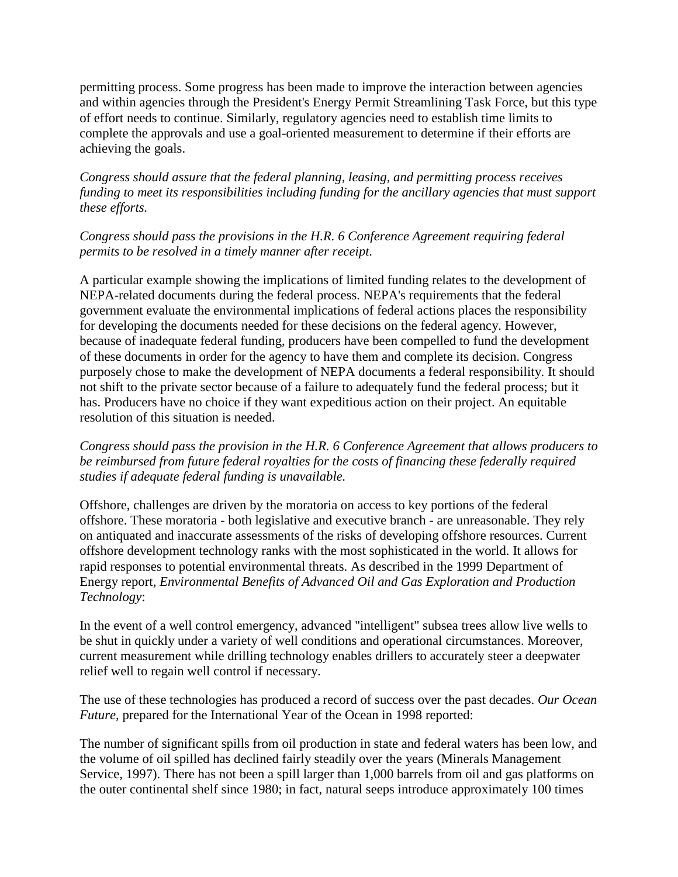permitting process. Some progress has been made to improve the interaction between agencies and within agencies through the President's Energy Permit Streamlining Task Force, but this type of effort needs to continue. Similarly, regulatory agencies need to establish time limits to complete the approvals and use a goal-oriented measurement to determine if their efforts are achieving the goals.

*Congress should assure that the federal planning, leasing, and permitting process receives funding to meet its responsibilities including funding for the ancillary agencies that must support these efforts.*

*Congress should pass the provisions in the H.R. 6 Conference Agreement requiring federal permits to be resolved in a timely manner after receipt.*

A particular example showing the implications of limited funding relates to the development of NEPA-related documents during the federal process. NEPA's requirements that the federal government evaluate the environmental implications of federal actions places the responsibility for developing the documents needed for these decisions on the federal agency. However, because of inadequate federal funding, producers have been compelled to fund the development of these documents in order for the agency to have them and complete its decision. Congress purposely chose to make the development of NEPA documents a federal responsibility. It should not shift to the private sector because of a failure to adequately fund the federal process; but it has. Producers have no choice if they want expeditious action on their project. An equitable resolution of this situation is needed.

*Congress should pass the provision in the H.R. 6 Conference Agreement that allows producers to be reimbursed from future federal royalties for the costs of financing these federally required studies if adequate federal funding is unavailable.*

Offshore, challenges are driven by the moratoria on access to key portions of the federal offshore. These moratoria - both legislative and executive branch - are unreasonable. They rely on antiquated and inaccurate assessments of the risks of developing offshore resources. Current offshore development technology ranks with the most sophisticated in the world. It allows for rapid responses to potential environmental threats. As described in the 1999 Department of Energy report, *Environmental Benefits of Advanced Oil and Gas Exploration and Production Technology*:

In the event of a well control emergency, advanced "intelligent" subsea trees allow live wells to be shut in quickly under a variety of well conditions and operational circumstances. Moreover, current measurement while drilling technology enables drillers to accurately steer a deepwater relief well to regain well control if necessary.

The use of these technologies has produced a record of success over the past decades. *Our Ocean Future*, prepared for the International Year of the Ocean in 1998 reported:

The number of significant spills from oil production in state and federal waters has been low, and the volume of oil spilled has declined fairly steadily over the years (Minerals Management Service, 1997). There has not been a spill larger than 1,000 barrels from oil and gas platforms on the outer continental shelf since 1980; in fact, natural seeps introduce approximately 100 times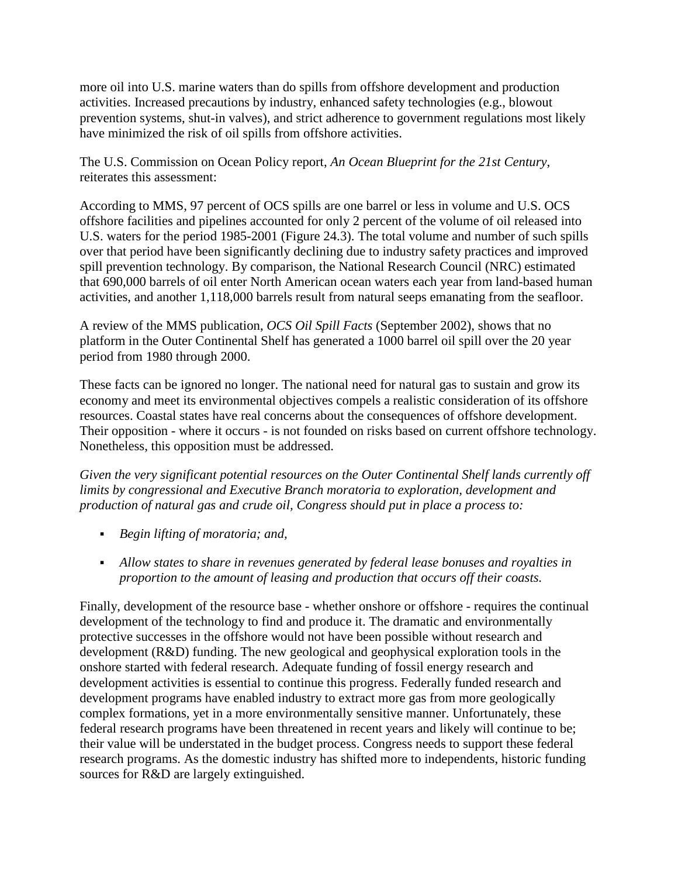more oil into U.S. marine waters than do spills from offshore development and production activities. Increased precautions by industry, enhanced safety technologies (e.g., blowout prevention systems, shut-in valves), and strict adherence to government regulations most likely have minimized the risk of oil spills from offshore activities.

The U.S. Commission on Ocean Policy report, *An Ocean Blueprint for the 21st Century*, reiterates this assessment:

According to MMS, 97 percent of OCS spills are one barrel or less in volume and U.S. OCS offshore facilities and pipelines accounted for only 2 percent of the volume of oil released into U.S. waters for the period 1985-2001 (Figure 24.3). The total volume and number of such spills over that period have been significantly declining due to industry safety practices and improved spill prevention technology. By comparison, the National Research Council (NRC) estimated that 690,000 barrels of oil enter North American ocean waters each year from land-based human activities, and another 1,118,000 barrels result from natural seeps emanating from the seafloor.

A review of the MMS publication, *OCS Oil Spill Facts* (September 2002), shows that no platform in the Outer Continental Shelf has generated a 1000 barrel oil spill over the 20 year period from 1980 through 2000.

These facts can be ignored no longer. The national need for natural gas to sustain and grow its economy and meet its environmental objectives compels a realistic consideration of its offshore resources. Coastal states have real concerns about the consequences of offshore development. Their opposition - where it occurs - is not founded on risks based on current offshore technology. Nonetheless, this opposition must be addressed.

*Given the very significant potential resources on the Outer Continental Shelf lands currently off limits by congressional and Executive Branch moratoria to exploration, development and production of natural gas and crude oil, Congress should put in place a process to:*

- *Begin lifting of moratoria; and,*
- *Allow states to share in revenues generated by federal lease bonuses and royalties in proportion to the amount of leasing and production that occurs off their coasts.*

Finally, development of the resource base - whether onshore or offshore - requires the continual development of the technology to find and produce it. The dramatic and environmentally protective successes in the offshore would not have been possible without research and development (R&D) funding. The new geological and geophysical exploration tools in the onshore started with federal research. Adequate funding of fossil energy research and development activities is essential to continue this progress. Federally funded research and development programs have enabled industry to extract more gas from more geologically complex formations, yet in a more environmentally sensitive manner. Unfortunately, these federal research programs have been threatened in recent years and likely will continue to be; their value will be understated in the budget process. Congress needs to support these federal research programs. As the domestic industry has shifted more to independents, historic funding sources for R&D are largely extinguished.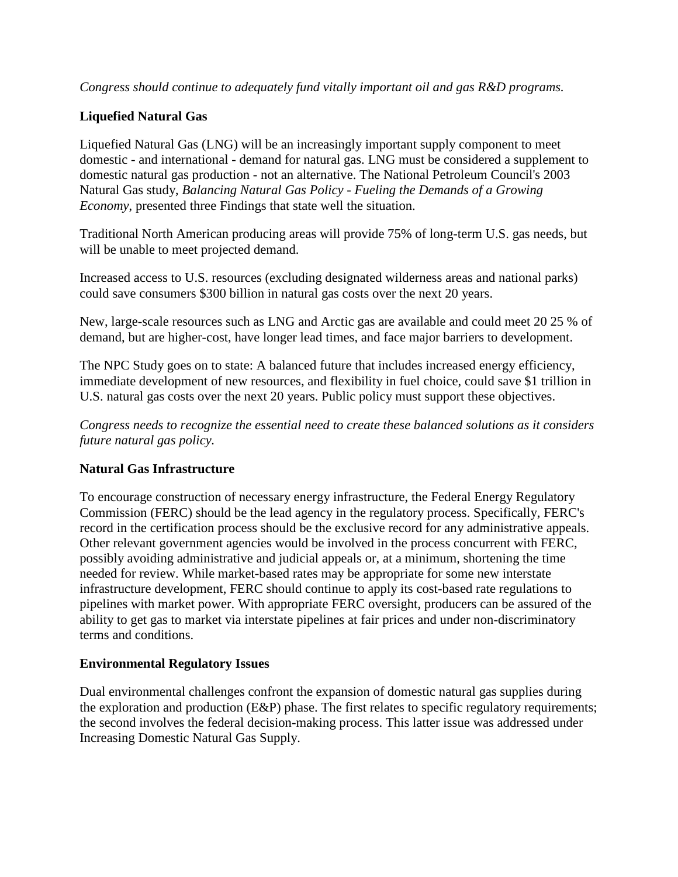*Congress should continue to adequately fund vitally important oil and gas R&D programs.*

## **Liquefied Natural Gas**

Liquefied Natural Gas (LNG) will be an increasingly important supply component to meet domestic - and international - demand for natural gas. LNG must be considered a supplement to domestic natural gas production - not an alternative. The National Petroleum Council's 2003 Natural Gas study, *Balancing Natural Gas Policy - Fueling the Demands of a Growing Economy*, presented three Findings that state well the situation.

Traditional North American producing areas will provide 75% of long-term U.S. gas needs, but will be unable to meet projected demand.

Increased access to U.S. resources (excluding designated wilderness areas and national parks) could save consumers \$300 billion in natural gas costs over the next 20 years.

New, large-scale resources such as LNG and Arctic gas are available and could meet 20 25 % of demand, but are higher-cost, have longer lead times, and face major barriers to development.

The NPC Study goes on to state: A balanced future that includes increased energy efficiency, immediate development of new resources, and flexibility in fuel choice, could save \$1 trillion in U.S. natural gas costs over the next 20 years. Public policy must support these objectives.

*Congress needs to recognize the essential need to create these balanced solutions as it considers future natural gas policy.*

### **Natural Gas Infrastructure**

To encourage construction of necessary energy infrastructure, the Federal Energy Regulatory Commission (FERC) should be the lead agency in the regulatory process. Specifically, FERC's record in the certification process should be the exclusive record for any administrative appeals. Other relevant government agencies would be involved in the process concurrent with FERC, possibly avoiding administrative and judicial appeals or, at a minimum, shortening the time needed for review. While market-based rates may be appropriate for some new interstate infrastructure development, FERC should continue to apply its cost-based rate regulations to pipelines with market power. With appropriate FERC oversight, producers can be assured of the ability to get gas to market via interstate pipelines at fair prices and under non-discriminatory terms and conditions.

### **Environmental Regulatory Issues**

Dual environmental challenges confront the expansion of domestic natural gas supplies during the exploration and production (E&P) phase. The first relates to specific regulatory requirements; the second involves the federal decision-making process. This latter issue was addressed under Increasing Domestic Natural Gas Supply.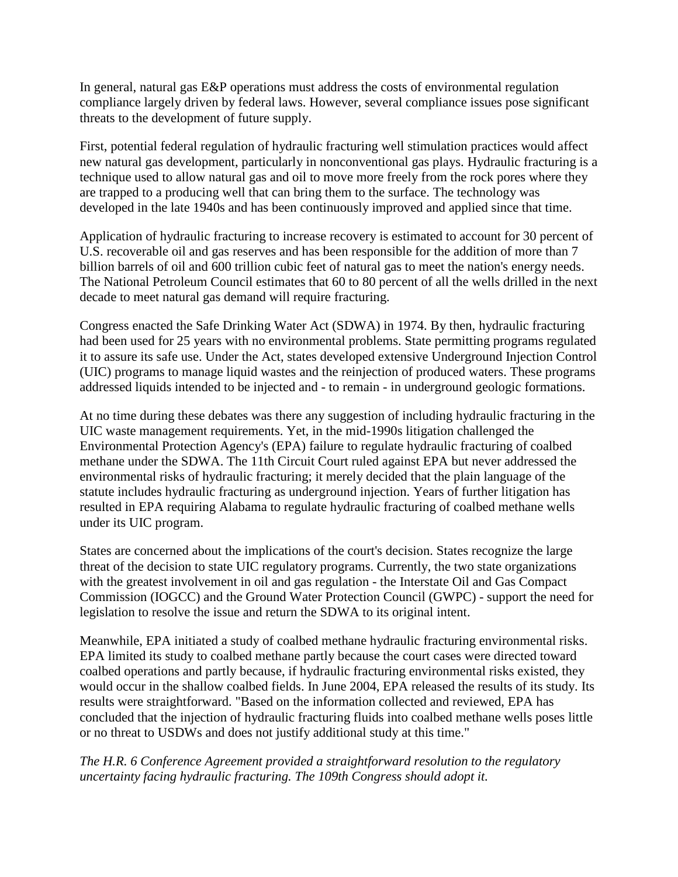In general, natural gas E&P operations must address the costs of environmental regulation compliance largely driven by federal laws. However, several compliance issues pose significant threats to the development of future supply.

First, potential federal regulation of hydraulic fracturing well stimulation practices would affect new natural gas development, particularly in nonconventional gas plays. Hydraulic fracturing is a technique used to allow natural gas and oil to move more freely from the rock pores where they are trapped to a producing well that can bring them to the surface. The technology was developed in the late 1940s and has been continuously improved and applied since that time.

Application of hydraulic fracturing to increase recovery is estimated to account for 30 percent of U.S. recoverable oil and gas reserves and has been responsible for the addition of more than 7 billion barrels of oil and 600 trillion cubic feet of natural gas to meet the nation's energy needs. The National Petroleum Council estimates that 60 to 80 percent of all the wells drilled in the next decade to meet natural gas demand will require fracturing.

Congress enacted the Safe Drinking Water Act (SDWA) in 1974. By then, hydraulic fracturing had been used for 25 years with no environmental problems. State permitting programs regulated it to assure its safe use. Under the Act, states developed extensive Underground Injection Control (UIC) programs to manage liquid wastes and the reinjection of produced waters. These programs addressed liquids intended to be injected and - to remain - in underground geologic formations.

At no time during these debates was there any suggestion of including hydraulic fracturing in the UIC waste management requirements. Yet, in the mid-1990s litigation challenged the Environmental Protection Agency's (EPA) failure to regulate hydraulic fracturing of coalbed methane under the SDWA. The 11th Circuit Court ruled against EPA but never addressed the environmental risks of hydraulic fracturing; it merely decided that the plain language of the statute includes hydraulic fracturing as underground injection. Years of further litigation has resulted in EPA requiring Alabama to regulate hydraulic fracturing of coalbed methane wells under its UIC program.

States are concerned about the implications of the court's decision. States recognize the large threat of the decision to state UIC regulatory programs. Currently, the two state organizations with the greatest involvement in oil and gas regulation - the Interstate Oil and Gas Compact Commission (IOGCC) and the Ground Water Protection Council (GWPC) - support the need for legislation to resolve the issue and return the SDWA to its original intent.

Meanwhile, EPA initiated a study of coalbed methane hydraulic fracturing environmental risks. EPA limited its study to coalbed methane partly because the court cases were directed toward coalbed operations and partly because, if hydraulic fracturing environmental risks existed, they would occur in the shallow coalbed fields. In June 2004, EPA released the results of its study. Its results were straightforward. "Based on the information collected and reviewed, EPA has concluded that the injection of hydraulic fracturing fluids into coalbed methane wells poses little or no threat to USDWs and does not justify additional study at this time."

*The H.R. 6 Conference Agreement provided a straightforward resolution to the regulatory uncertainty facing hydraulic fracturing. The 109th Congress should adopt it.*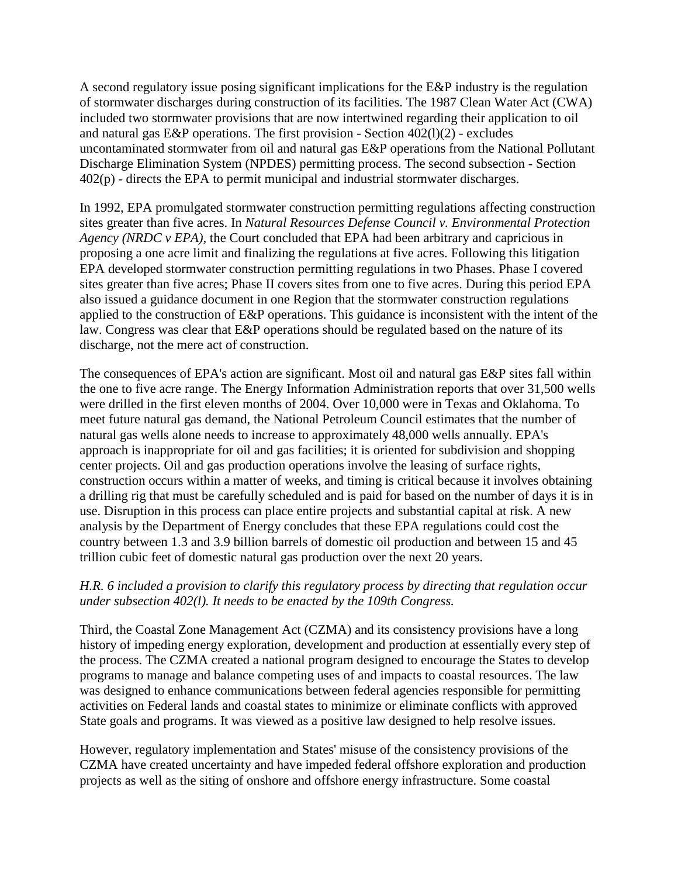A second regulatory issue posing significant implications for the E&P industry is the regulation of stormwater discharges during construction of its facilities. The 1987 Clean Water Act (CWA) included two stormwater provisions that are now intertwined regarding their application to oil and natural gas E&P operations. The first provision - Section  $402(1)(2)$  - excludes uncontaminated stormwater from oil and natural gas E&P operations from the National Pollutant Discharge Elimination System (NPDES) permitting process. The second subsection - Section 402(p) - directs the EPA to permit municipal and industrial stormwater discharges.

In 1992, EPA promulgated stormwater construction permitting regulations affecting construction sites greater than five acres. In *Natural Resources Defense Council v. Environmental Protection Agency (NRDC v EPA)*, the Court concluded that EPA had been arbitrary and capricious in proposing a one acre limit and finalizing the regulations at five acres. Following this litigation EPA developed stormwater construction permitting regulations in two Phases. Phase I covered sites greater than five acres; Phase II covers sites from one to five acres. During this period EPA also issued a guidance document in one Region that the stormwater construction regulations applied to the construction of E&P operations. This guidance is inconsistent with the intent of the law. Congress was clear that E&P operations should be regulated based on the nature of its discharge, not the mere act of construction.

The consequences of EPA's action are significant. Most oil and natural gas E&P sites fall within the one to five acre range. The Energy Information Administration reports that over 31,500 wells were drilled in the first eleven months of 2004. Over 10,000 were in Texas and Oklahoma. To meet future natural gas demand, the National Petroleum Council estimates that the number of natural gas wells alone needs to increase to approximately 48,000 wells annually. EPA's approach is inappropriate for oil and gas facilities; it is oriented for subdivision and shopping center projects. Oil and gas production operations involve the leasing of surface rights, construction occurs within a matter of weeks, and timing is critical because it involves obtaining a drilling rig that must be carefully scheduled and is paid for based on the number of days it is in use. Disruption in this process can place entire projects and substantial capital at risk. A new analysis by the Department of Energy concludes that these EPA regulations could cost the country between 1.3 and 3.9 billion barrels of domestic oil production and between 15 and 45 trillion cubic feet of domestic natural gas production over the next 20 years.

### *H.R. 6 included a provision to clarify this regulatory process by directing that regulation occur under subsection 402(l). It needs to be enacted by the 109th Congress.*

Third, the Coastal Zone Management Act (CZMA) and its consistency provisions have a long history of impeding energy exploration, development and production at essentially every step of the process. The CZMA created a national program designed to encourage the States to develop programs to manage and balance competing uses of and impacts to coastal resources. The law was designed to enhance communications between federal agencies responsible for permitting activities on Federal lands and coastal states to minimize or eliminate conflicts with approved State goals and programs. It was viewed as a positive law designed to help resolve issues.

However, regulatory implementation and States' misuse of the consistency provisions of the CZMA have created uncertainty and have impeded federal offshore exploration and production projects as well as the siting of onshore and offshore energy infrastructure. Some coastal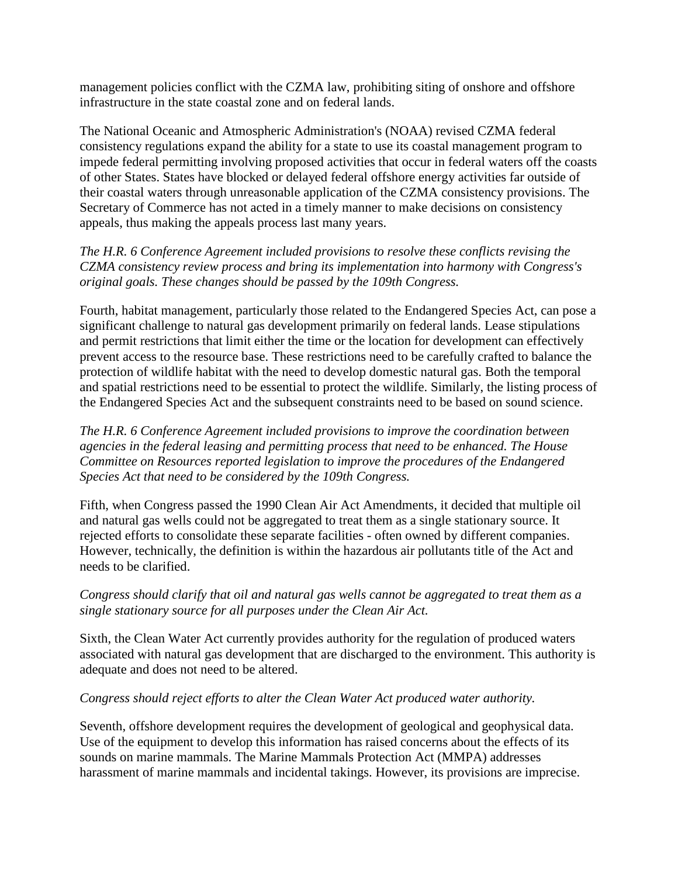management policies conflict with the CZMA law, prohibiting siting of onshore and offshore infrastructure in the state coastal zone and on federal lands.

The National Oceanic and Atmospheric Administration's (NOAA) revised CZMA federal consistency regulations expand the ability for a state to use its coastal management program to impede federal permitting involving proposed activities that occur in federal waters off the coasts of other States. States have blocked or delayed federal offshore energy activities far outside of their coastal waters through unreasonable application of the CZMA consistency provisions. The Secretary of Commerce has not acted in a timely manner to make decisions on consistency appeals, thus making the appeals process last many years.

*The H.R. 6 Conference Agreement included provisions to resolve these conflicts revising the CZMA consistency review process and bring its implementation into harmony with Congress's original goals. These changes should be passed by the 109th Congress.*

Fourth, habitat management, particularly those related to the Endangered Species Act, can pose a significant challenge to natural gas development primarily on federal lands. Lease stipulations and permit restrictions that limit either the time or the location for development can effectively prevent access to the resource base. These restrictions need to be carefully crafted to balance the protection of wildlife habitat with the need to develop domestic natural gas. Both the temporal and spatial restrictions need to be essential to protect the wildlife. Similarly, the listing process of the Endangered Species Act and the subsequent constraints need to be based on sound science.

*The H.R. 6 Conference Agreement included provisions to improve the coordination between agencies in the federal leasing and permitting process that need to be enhanced. The House Committee on Resources reported legislation to improve the procedures of the Endangered Species Act that need to be considered by the 109th Congress.*

Fifth, when Congress passed the 1990 Clean Air Act Amendments, it decided that multiple oil and natural gas wells could not be aggregated to treat them as a single stationary source. It rejected efforts to consolidate these separate facilities - often owned by different companies. However, technically, the definition is within the hazardous air pollutants title of the Act and needs to be clarified.

*Congress should clarify that oil and natural gas wells cannot be aggregated to treat them as a single stationary source for all purposes under the Clean Air Act.*

Sixth, the Clean Water Act currently provides authority for the regulation of produced waters associated with natural gas development that are discharged to the environment. This authority is adequate and does not need to be altered.

### *Congress should reject efforts to alter the Clean Water Act produced water authority.*

Seventh, offshore development requires the development of geological and geophysical data. Use of the equipment to develop this information has raised concerns about the effects of its sounds on marine mammals. The Marine Mammals Protection Act (MMPA) addresses harassment of marine mammals and incidental takings. However, its provisions are imprecise.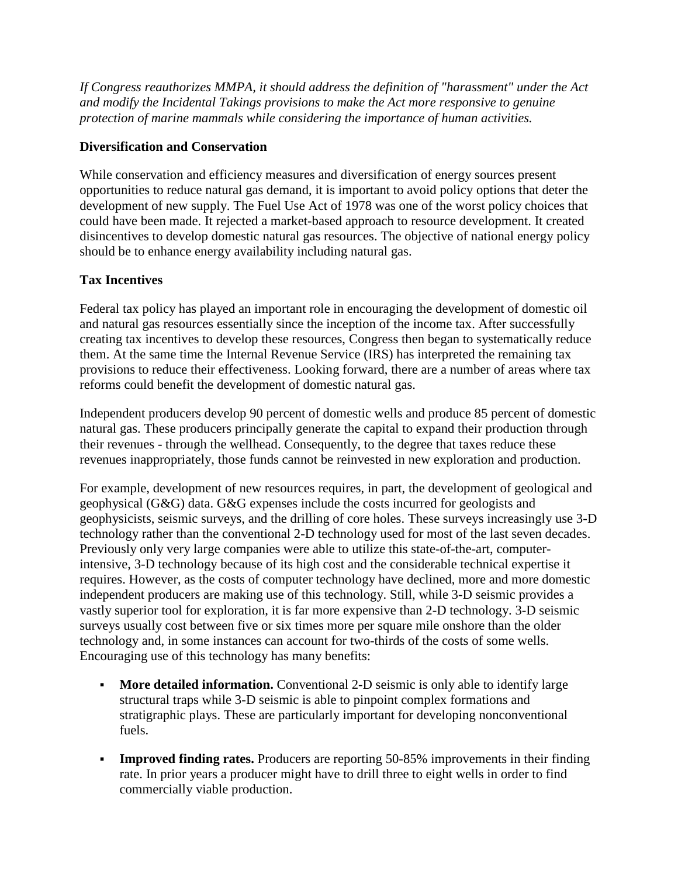*If Congress reauthorizes MMPA, it should address the definition of "harassment" under the Act and modify the Incidental Takings provisions to make the Act more responsive to genuine protection of marine mammals while considering the importance of human activities.*

### **Diversification and Conservation**

While conservation and efficiency measures and diversification of energy sources present opportunities to reduce natural gas demand, it is important to avoid policy options that deter the development of new supply. The Fuel Use Act of 1978 was one of the worst policy choices that could have been made. It rejected a market-based approach to resource development. It created disincentives to develop domestic natural gas resources. The objective of national energy policy should be to enhance energy availability including natural gas.

# **Tax Incentives**

Federal tax policy has played an important role in encouraging the development of domestic oil and natural gas resources essentially since the inception of the income tax. After successfully creating tax incentives to develop these resources, Congress then began to systematically reduce them. At the same time the Internal Revenue Service (IRS) has interpreted the remaining tax provisions to reduce their effectiveness. Looking forward, there are a number of areas where tax reforms could benefit the development of domestic natural gas.

Independent producers develop 90 percent of domestic wells and produce 85 percent of domestic natural gas. These producers principally generate the capital to expand their production through their revenues - through the wellhead. Consequently, to the degree that taxes reduce these revenues inappropriately, those funds cannot be reinvested in new exploration and production.

For example, development of new resources requires, in part, the development of geological and geophysical (G&G) data. G&G expenses include the costs incurred for geologists and geophysicists, seismic surveys, and the drilling of core holes. These surveys increasingly use 3-D technology rather than the conventional 2-D technology used for most of the last seven decades. Previously only very large companies were able to utilize this state-of-the-art, computerintensive, 3-D technology because of its high cost and the considerable technical expertise it requires. However, as the costs of computer technology have declined, more and more domestic independent producers are making use of this technology. Still, while 3-D seismic provides a vastly superior tool for exploration, it is far more expensive than 2-D technology. 3-D seismic surveys usually cost between five or six times more per square mile onshore than the older technology and, in some instances can account for two-thirds of the costs of some wells. Encouraging use of this technology has many benefits:

- **More detailed information.** Conventional 2-D seismic is only able to identify large structural traps while 3-D seismic is able to pinpoint complex formations and stratigraphic plays. These are particularly important for developing nonconventional fuels.
- **Improved finding rates.** Producers are reporting 50-85% improvements in their finding rate. In prior years a producer might have to drill three to eight wells in order to find commercially viable production.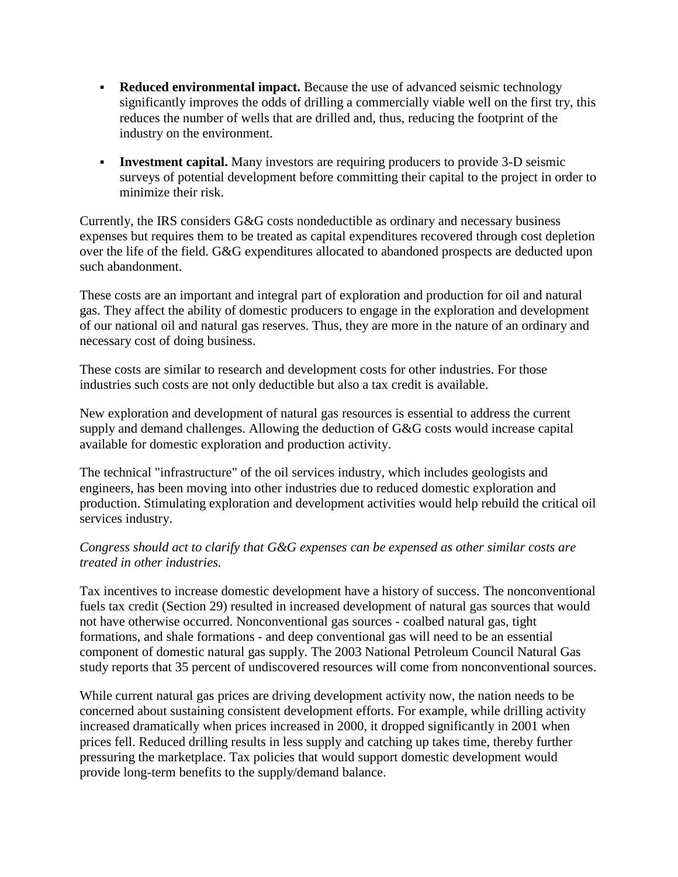- **Reduced environmental impact.** Because the use of advanced seismic technology significantly improves the odds of drilling a commercially viable well on the first try, this reduces the number of wells that are drilled and, thus, reducing the footprint of the industry on the environment.
- **Investment capital.** Many investors are requiring producers to provide 3-D seismic surveys of potential development before committing their capital to the project in order to minimize their risk.

Currently, the IRS considers G&G costs nondeductible as ordinary and necessary business expenses but requires them to be treated as capital expenditures recovered through cost depletion over the life of the field. G&G expenditures allocated to abandoned prospects are deducted upon such abandonment.

These costs are an important and integral part of exploration and production for oil and natural gas. They affect the ability of domestic producers to engage in the exploration and development of our national oil and natural gas reserves. Thus, they are more in the nature of an ordinary and necessary cost of doing business.

These costs are similar to research and development costs for other industries. For those industries such costs are not only deductible but also a tax credit is available.

New exploration and development of natural gas resources is essential to address the current supply and demand challenges. Allowing the deduction of G&G costs would increase capital available for domestic exploration and production activity.

The technical "infrastructure" of the oil services industry, which includes geologists and engineers, has been moving into other industries due to reduced domestic exploration and production. Stimulating exploration and development activities would help rebuild the critical oil services industry.

#### *Congress should act to clarify that G&G expenses can be expensed as other similar costs are treated in other industries.*

Tax incentives to increase domestic development have a history of success. The nonconventional fuels tax credit (Section 29) resulted in increased development of natural gas sources that would not have otherwise occurred. Nonconventional gas sources - coalbed natural gas, tight formations, and shale formations - and deep conventional gas will need to be an essential component of domestic natural gas supply. The 2003 National Petroleum Council Natural Gas study reports that 35 percent of undiscovered resources will come from nonconventional sources.

While current natural gas prices are driving development activity now, the nation needs to be concerned about sustaining consistent development efforts. For example, while drilling activity increased dramatically when prices increased in 2000, it dropped significantly in 2001 when prices fell. Reduced drilling results in less supply and catching up takes time, thereby further pressuring the marketplace. Tax policies that would support domestic development would provide long-term benefits to the supply/demand balance.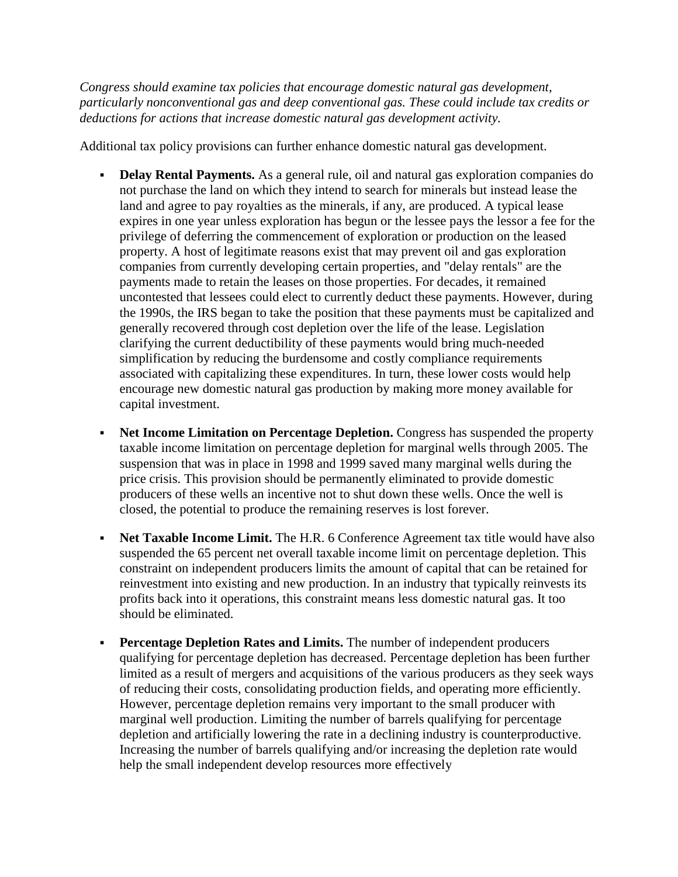*Congress should examine tax policies that encourage domestic natural gas development, particularly nonconventional gas and deep conventional gas. These could include tax credits or deductions for actions that increase domestic natural gas development activity.*

Additional tax policy provisions can further enhance domestic natural gas development.

- **Delay Rental Payments.** As a general rule, oil and natural gas exploration companies do not purchase the land on which they intend to search for minerals but instead lease the land and agree to pay royalties as the minerals, if any, are produced. A typical lease expires in one year unless exploration has begun or the lessee pays the lessor a fee for the privilege of deferring the commencement of exploration or production on the leased property. A host of legitimate reasons exist that may prevent oil and gas exploration companies from currently developing certain properties, and "delay rentals" are the payments made to retain the leases on those properties. For decades, it remained uncontested that lessees could elect to currently deduct these payments. However, during the 1990s, the IRS began to take the position that these payments must be capitalized and generally recovered through cost depletion over the life of the lease. Legislation clarifying the current deductibility of these payments would bring much-needed simplification by reducing the burdensome and costly compliance requirements associated with capitalizing these expenditures. In turn, these lower costs would help encourage new domestic natural gas production by making more money available for capital investment.
- **Net Income Limitation on Percentage Depletion.** Congress has suspended the property taxable income limitation on percentage depletion for marginal wells through 2005. The suspension that was in place in 1998 and 1999 saved many marginal wells during the price crisis. This provision should be permanently eliminated to provide domestic producers of these wells an incentive not to shut down these wells. Once the well is closed, the potential to produce the remaining reserves is lost forever.
- **Net Taxable Income Limit.** The H.R. 6 Conference Agreement tax title would have also suspended the 65 percent net overall taxable income limit on percentage depletion. This constraint on independent producers limits the amount of capital that can be retained for reinvestment into existing and new production. In an industry that typically reinvests its profits back into it operations, this constraint means less domestic natural gas. It too should be eliminated.
- **Percentage Depletion Rates and Limits.** The number of independent producers qualifying for percentage depletion has decreased. Percentage depletion has been further limited as a result of mergers and acquisitions of the various producers as they seek ways of reducing their costs, consolidating production fields, and operating more efficiently. However, percentage depletion remains very important to the small producer with marginal well production. Limiting the number of barrels qualifying for percentage depletion and artificially lowering the rate in a declining industry is counterproductive. Increasing the number of barrels qualifying and/or increasing the depletion rate would help the small independent develop resources more effectively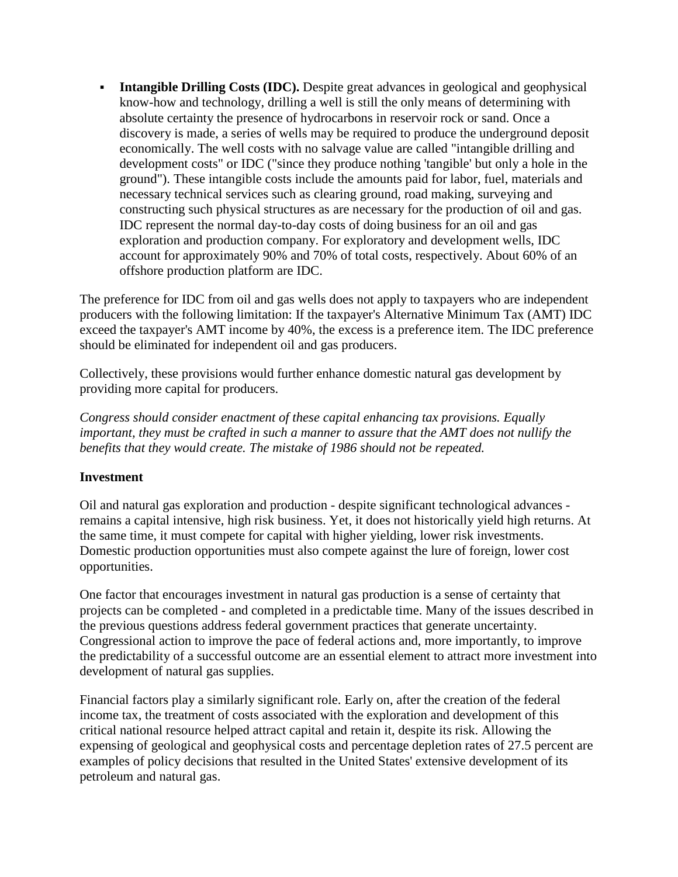**Intangible Drilling Costs (IDC).** Despite great advances in geological and geophysical know-how and technology, drilling a well is still the only means of determining with absolute certainty the presence of hydrocarbons in reservoir rock or sand. Once a discovery is made, a series of wells may be required to produce the underground deposit economically. The well costs with no salvage value are called "intangible drilling and development costs" or IDC ("since they produce nothing 'tangible' but only a hole in the ground"). These intangible costs include the amounts paid for labor, fuel, materials and necessary technical services such as clearing ground, road making, surveying and constructing such physical structures as are necessary for the production of oil and gas. IDC represent the normal day-to-day costs of doing business for an oil and gas exploration and production company. For exploratory and development wells, IDC account for approximately 90% and 70% of total costs, respectively. About 60% of an offshore production platform are IDC.

The preference for IDC from oil and gas wells does not apply to taxpayers who are independent producers with the following limitation: If the taxpayer's Alternative Minimum Tax (AMT) IDC exceed the taxpayer's AMT income by 40%, the excess is a preference item. The IDC preference should be eliminated for independent oil and gas producers.

Collectively, these provisions would further enhance domestic natural gas development by providing more capital for producers.

*Congress should consider enactment of these capital enhancing tax provisions. Equally important, they must be crafted in such a manner to assure that the AMT does not nullify the benefits that they would create. The mistake of 1986 should not be repeated.*

### **Investment**

Oil and natural gas exploration and production - despite significant technological advances remains a capital intensive, high risk business. Yet, it does not historically yield high returns. At the same time, it must compete for capital with higher yielding, lower risk investments. Domestic production opportunities must also compete against the lure of foreign, lower cost opportunities.

One factor that encourages investment in natural gas production is a sense of certainty that projects can be completed - and completed in a predictable time. Many of the issues described in the previous questions address federal government practices that generate uncertainty. Congressional action to improve the pace of federal actions and, more importantly, to improve the predictability of a successful outcome are an essential element to attract more investment into development of natural gas supplies.

Financial factors play a similarly significant role. Early on, after the creation of the federal income tax, the treatment of costs associated with the exploration and development of this critical national resource helped attract capital and retain it, despite its risk. Allowing the expensing of geological and geophysical costs and percentage depletion rates of 27.5 percent are examples of policy decisions that resulted in the United States' extensive development of its petroleum and natural gas.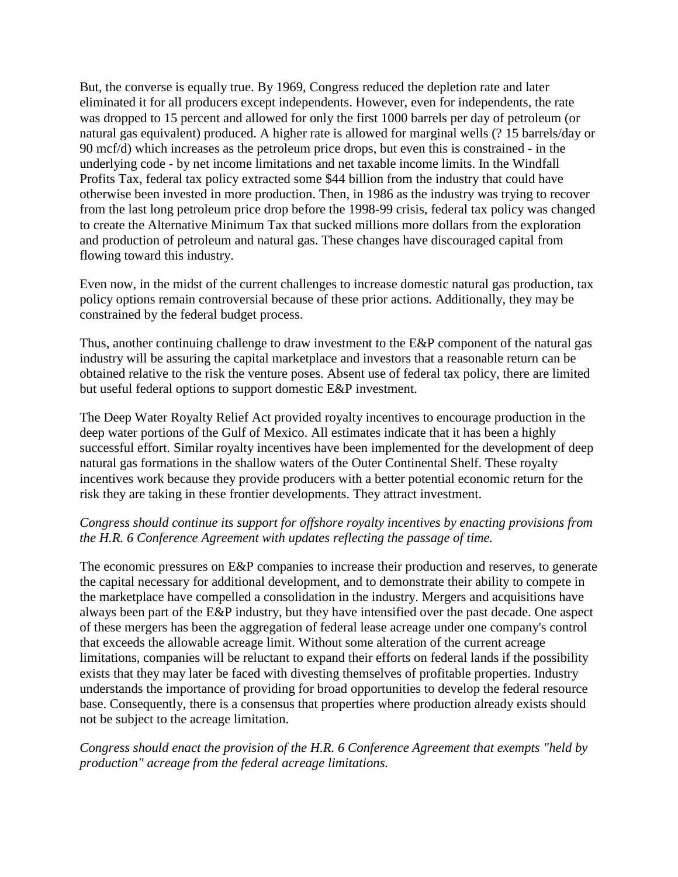But, the converse is equally true. By 1969, Congress reduced the depletion rate and later eliminated it for all producers except independents. However, even for independents, the rate was dropped to 15 percent and allowed for only the first 1000 barrels per day of petroleum (or natural gas equivalent) produced. A higher rate is allowed for marginal wells (? 15 barrels/day or 90 mcf/d) which increases as the petroleum price drops, but even this is constrained - in the underlying code - by net income limitations and net taxable income limits. In the Windfall Profits Tax, federal tax policy extracted some \$44 billion from the industry that could have otherwise been invested in more production. Then, in 1986 as the industry was trying to recover from the last long petroleum price drop before the 1998-99 crisis, federal tax policy was changed to create the Alternative Minimum Tax that sucked millions more dollars from the exploration and production of petroleum and natural gas. These changes have discouraged capital from flowing toward this industry.

Even now, in the midst of the current challenges to increase domestic natural gas production, tax policy options remain controversial because of these prior actions. Additionally, they may be constrained by the federal budget process.

Thus, another continuing challenge to draw investment to the E&P component of the natural gas industry will be assuring the capital marketplace and investors that a reasonable return can be obtained relative to the risk the venture poses. Absent use of federal tax policy, there are limited but useful federal options to support domestic E&P investment.

The Deep Water Royalty Relief Act provided royalty incentives to encourage production in the deep water portions of the Gulf of Mexico. All estimates indicate that it has been a highly successful effort. Similar royalty incentives have been implemented for the development of deep natural gas formations in the shallow waters of the Outer Continental Shelf. These royalty incentives work because they provide producers with a better potential economic return for the risk they are taking in these frontier developments. They attract investment.

### *Congress should continue its support for offshore royalty incentives by enacting provisions from the H.R. 6 Conference Agreement with updates reflecting the passage of time.*

The economic pressures on E&P companies to increase their production and reserves, to generate the capital necessary for additional development, and to demonstrate their ability to compete in the marketplace have compelled a consolidation in the industry. Mergers and acquisitions have always been part of the E&P industry, but they have intensified over the past decade. One aspect of these mergers has been the aggregation of federal lease acreage under one company's control that exceeds the allowable acreage limit. Without some alteration of the current acreage limitations, companies will be reluctant to expand their efforts on federal lands if the possibility exists that they may later be faced with divesting themselves of profitable properties. Industry understands the importance of providing for broad opportunities to develop the federal resource base. Consequently, there is a consensus that properties where production already exists should not be subject to the acreage limitation.

#### *Congress should enact the provision of the H.R. 6 Conference Agreement that exempts "held by production" acreage from the federal acreage limitations.*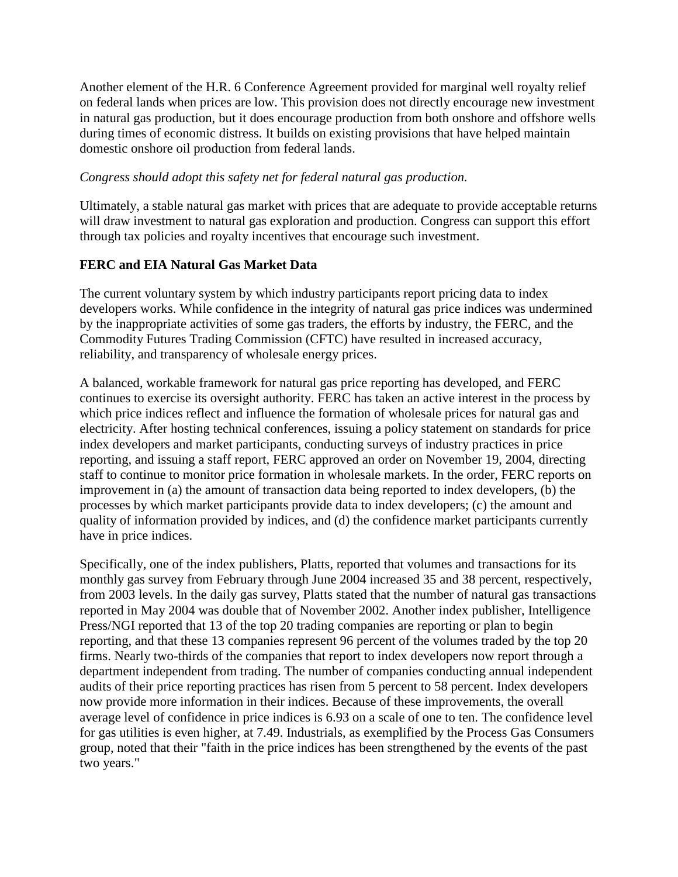Another element of the H.R. 6 Conference Agreement provided for marginal well royalty relief on federal lands when prices are low. This provision does not directly encourage new investment in natural gas production, but it does encourage production from both onshore and offshore wells during times of economic distress. It builds on existing provisions that have helped maintain domestic onshore oil production from federal lands.

#### *Congress should adopt this safety net for federal natural gas production.*

Ultimately, a stable natural gas market with prices that are adequate to provide acceptable returns will draw investment to natural gas exploration and production. Congress can support this effort through tax policies and royalty incentives that encourage such investment.

### **FERC and EIA Natural Gas Market Data**

The current voluntary system by which industry participants report pricing data to index developers works. While confidence in the integrity of natural gas price indices was undermined by the inappropriate activities of some gas traders, the efforts by industry, the FERC, and the Commodity Futures Trading Commission (CFTC) have resulted in increased accuracy, reliability, and transparency of wholesale energy prices.

A balanced, workable framework for natural gas price reporting has developed, and FERC continues to exercise its oversight authority. FERC has taken an active interest in the process by which price indices reflect and influence the formation of wholesale prices for natural gas and electricity. After hosting technical conferences, issuing a policy statement on standards for price index developers and market participants, conducting surveys of industry practices in price reporting, and issuing a staff report, FERC approved an order on November 19, 2004, directing staff to continue to monitor price formation in wholesale markets. In the order, FERC reports on improvement in (a) the amount of transaction data being reported to index developers, (b) the processes by which market participants provide data to index developers; (c) the amount and quality of information provided by indices, and (d) the confidence market participants currently have in price indices.

Specifically, one of the index publishers, Platts, reported that volumes and transactions for its monthly gas survey from February through June 2004 increased 35 and 38 percent, respectively, from 2003 levels. In the daily gas survey, Platts stated that the number of natural gas transactions reported in May 2004 was double that of November 2002. Another index publisher, Intelligence Press/NGI reported that 13 of the top 20 trading companies are reporting or plan to begin reporting, and that these 13 companies represent 96 percent of the volumes traded by the top 20 firms. Nearly two-thirds of the companies that report to index developers now report through a department independent from trading. The number of companies conducting annual independent audits of their price reporting practices has risen from 5 percent to 58 percent. Index developers now provide more information in their indices. Because of these improvements, the overall average level of confidence in price indices is 6.93 on a scale of one to ten. The confidence level for gas utilities is even higher, at 7.49. Industrials, as exemplified by the Process Gas Consumers group, noted that their "faith in the price indices has been strengthened by the events of the past two years."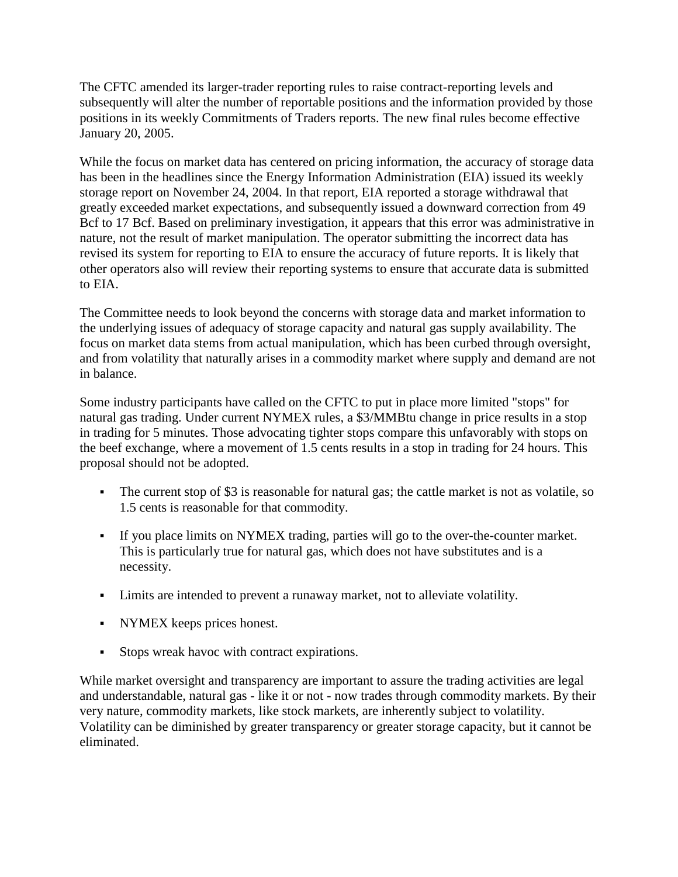The CFTC amended its larger-trader reporting rules to raise contract-reporting levels and subsequently will alter the number of reportable positions and the information provided by those positions in its weekly Commitments of Traders reports. The new final rules become effective January 20, 2005.

While the focus on market data has centered on pricing information, the accuracy of storage data has been in the headlines since the Energy Information Administration (EIA) issued its weekly storage report on November 24, 2004. In that report, EIA reported a storage withdrawal that greatly exceeded market expectations, and subsequently issued a downward correction from 49 Bcf to 17 Bcf. Based on preliminary investigation, it appears that this error was administrative in nature, not the result of market manipulation. The operator submitting the incorrect data has revised its system for reporting to EIA to ensure the accuracy of future reports. It is likely that other operators also will review their reporting systems to ensure that accurate data is submitted to EIA.

The Committee needs to look beyond the concerns with storage data and market information to the underlying issues of adequacy of storage capacity and natural gas supply availability. The focus on market data stems from actual manipulation, which has been curbed through oversight, and from volatility that naturally arises in a commodity market where supply and demand are not in balance.

Some industry participants have called on the CFTC to put in place more limited "stops" for natural gas trading. Under current NYMEX rules, a \$3/MMBtu change in price results in a stop in trading for 5 minutes. Those advocating tighter stops compare this unfavorably with stops on the beef exchange, where a movement of 1.5 cents results in a stop in trading for 24 hours. This proposal should not be adopted.

- The current stop of \$3 is reasonable for natural gas; the cattle market is not as volatile, so 1.5 cents is reasonable for that commodity.
- If you place limits on NYMEX trading, parties will go to the over-the-counter market. This is particularly true for natural gas, which does not have substitutes and is a necessity.
- Limits are intended to prevent a runaway market, not to alleviate volatility.
- NYMEX keeps prices honest.
- Stops wreak havoc with contract expirations.

While market oversight and transparency are important to assure the trading activities are legal and understandable, natural gas - like it or not - now trades through commodity markets. By their very nature, commodity markets, like stock markets, are inherently subject to volatility. Volatility can be diminished by greater transparency or greater storage capacity, but it cannot be eliminated.